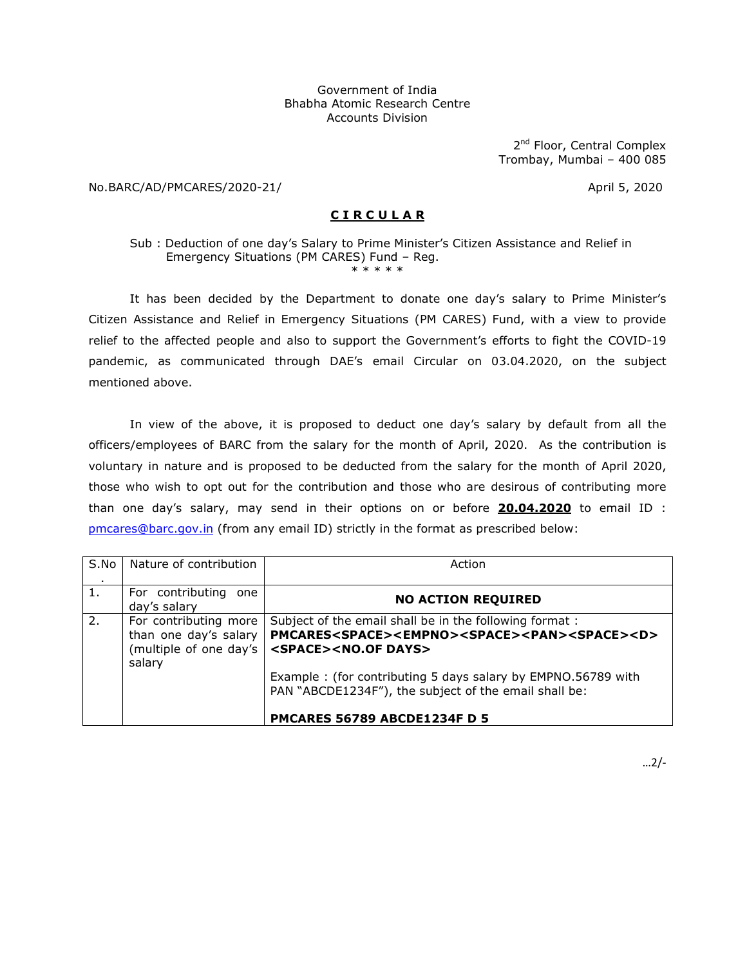## Government of India Bhabha Atomic Research Centre Accounts Division

2<sup>nd</sup> Floor, Central Complex Trombay, Mumbai – 400 085

No.BARC/AD/PMCARES/2020-21/ April 5, 2020

## **C I R C U L A R**

Sub : Deduction of one day's Salary to Prime Minister's Citizen Assistance and Relief in Emergency Situations (PM CARES) Fund – Reg. \* \* \* \* \*

It has been decided by the Department to donate one day's salary to Prime Minister's Citizen Assistance and Relief in Emergency Situations (PM CARES) Fund, with a view to provide relief to the affected people and also to support the Government's efforts to fight the COVID-19 pandemic, as communicated through DAE's email Circular on 03.04.2020, on the subject mentioned above.

In view of the above, it is proposed to deduct one day's salary by default from all the officers/employees of BARC from the salary for the month of April, 2020. As the contribution is voluntary in nature and is proposed to be deducted from the salary for the month of April 2020, those who wish to opt out for the contribution and those who are desirous of contributing more than one day's salary, may send in their options on or before **20.04.2020** to email ID : pmcares@barc.gov.in (from any email ID) strictly in the format as prescribed below:

| S.No | Nature of contribution                                                             | Action                                                                                                                                                                                      |
|------|------------------------------------------------------------------------------------|---------------------------------------------------------------------------------------------------------------------------------------------------------------------------------------------|
| 1.   | For contributing one<br>day's salary                                               | <b>NO ACTION REQUIRED</b>                                                                                                                                                                   |
| 2.   | For contributing more<br>than one day's salary<br>(multiple of one day's<br>salary | Subject of the email shall be in the following format:<br>PMCARES <space><empno><space><pan><space><d><br/><space><no.of days=""></no.of></space></d></space></pan></space></empno></space> |
|      |                                                                                    | Example: (for contributing 5 days salary by EMPNO.56789 with<br>PAN "ABCDE1234F"), the subject of the email shall be:                                                                       |
|      |                                                                                    | PMCARES 56789 ABCDE1234F D 5                                                                                                                                                                |

…2/-